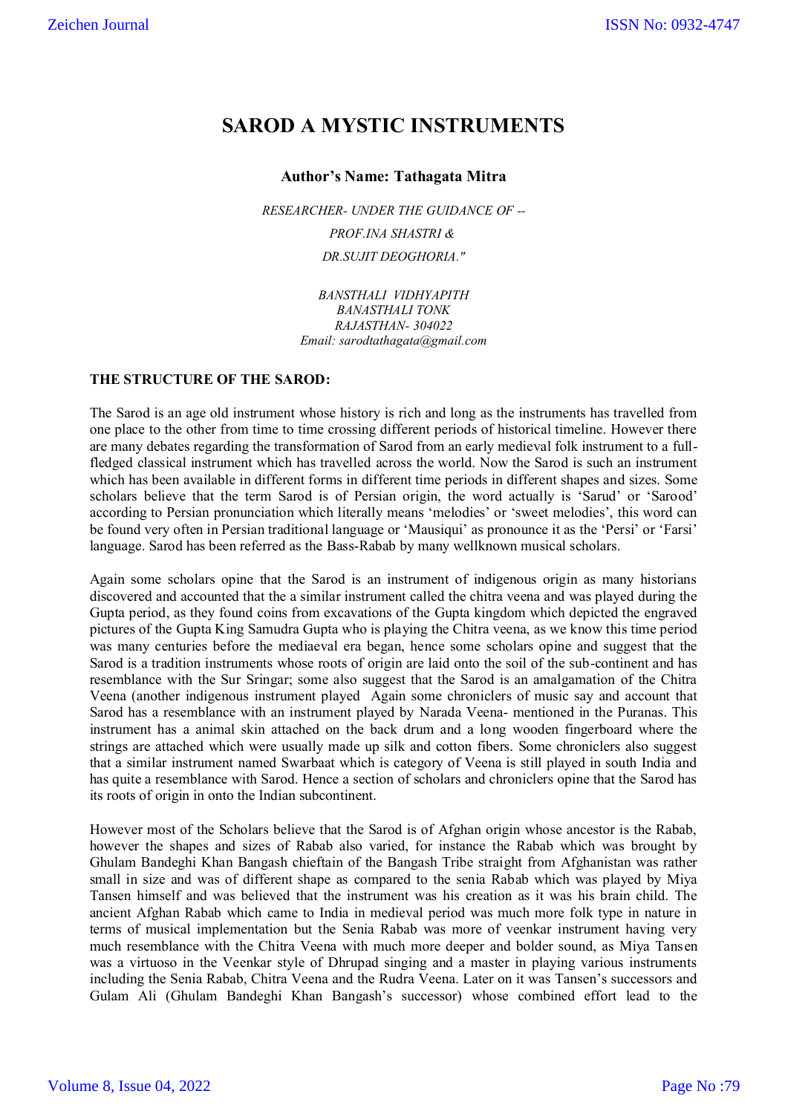# **SAROD A MYSTIC INSTRUMENTS**

## **Author**'**s Name: Tathagata Mitra**

*RESEARCHER- UNDER THE GUIDANCE OF -- PROF.INA SHASTRI & DR.SUJIT DEOGHORIA."*

> *BANSTHALI VIDHYAPITH BANASTHALI TONK RAJASTHAN- 304022 Email: sarodtathagata@gmail.com*

## **THE STRUCTURE OF THE SAROD:**

The Sarod is an age old instrument whose history is rich and long as the instruments has travelled from one place to the other from time to time crossing different periods of historical timeline. However there are many debates regarding the transformation of Sarod from an early medieval folk instrument to a fullfledged classical instrument which has travelled across the world. Now the Sarod is such an instrument which has been available in different forms in different time periods in different shapes and sizes. Some scholars believe that the term Sarod is of Persian origin, the word actually is 'Sarud' or 'Sarood' according to Persian pronunciation which literally means "melodies" or "sweet melodies", this word can be found very often in Persian traditional language or 'Mausiqui' as pronounce it as the 'Persi' or 'Farsi' language. Sarod has been referred as the Bass-Rabab by many wellknown musical scholars.

Again some scholars opine that the Sarod is an instrument of indigenous origin as many historians discovered and accounted that the a similar instrument called the chitra veena and was played during the Gupta period, as they found coins from excavations of the Gupta kingdom which depicted the engraved pictures of the Gupta King Samudra Gupta who is playing the Chitra veena, as we know this time period was many centuries before the mediaeval era began, hence some scholars opine and suggest that the Sarod is a tradition instruments whose roots of origin are laid onto the soil of the sub-continent and has resemblance with the Sur Sringar; some also suggest that the Sarod is an amalgamation of the Chitra Veena (another indigenous instrument played Again some chroniclers of music say and account that Sarod has a resemblance with an instrument played by Narada Veena- mentioned in the Puranas. This instrument has a animal skin attached on the back drum and a long wooden fingerboard where the strings are attached which were usually made up silk and cotton fibers. Some chroniclers also suggest that a similar instrument named Swarbaat which is category of Veena is still played in south India and has quite a resemblance with Sarod. Hence a section of scholars and chroniclers opine that the Sarod has its roots of origin in onto the Indian subcontinent.

However most of the Scholars believe that the Sarod is of Afghan origin whose ancestor is the Rabab, however the shapes and sizes of Rabab also varied, for instance the Rabab which was brought by Ghulam Bandeghi Khan Bangash chieftain of the Bangash Tribe straight from Afghanistan was rather small in size and was of different shape as compared to the senia Rabab which was played by Miya Tansen himself and was believed that the instrument was his creation as it was his brain child. The ancient Afghan Rabab which came to India in medieval period was much more folk type in nature in terms of musical implementation but the Senia Rabab was more of veenkar instrument having very much resemblance with the Chitra Veena with much more deeper and bolder sound, as Miya Tansen was a virtuoso in the Veenkar style of Dhrupad singing and a master in playing various instruments including the Senia Rabab, Chitra Veena and the Rudra Veena. Later on it was Tansen"s successors and Gulam Ali (Ghulam Bandeghi Khan Bangash"s successor) whose combined effort lead to the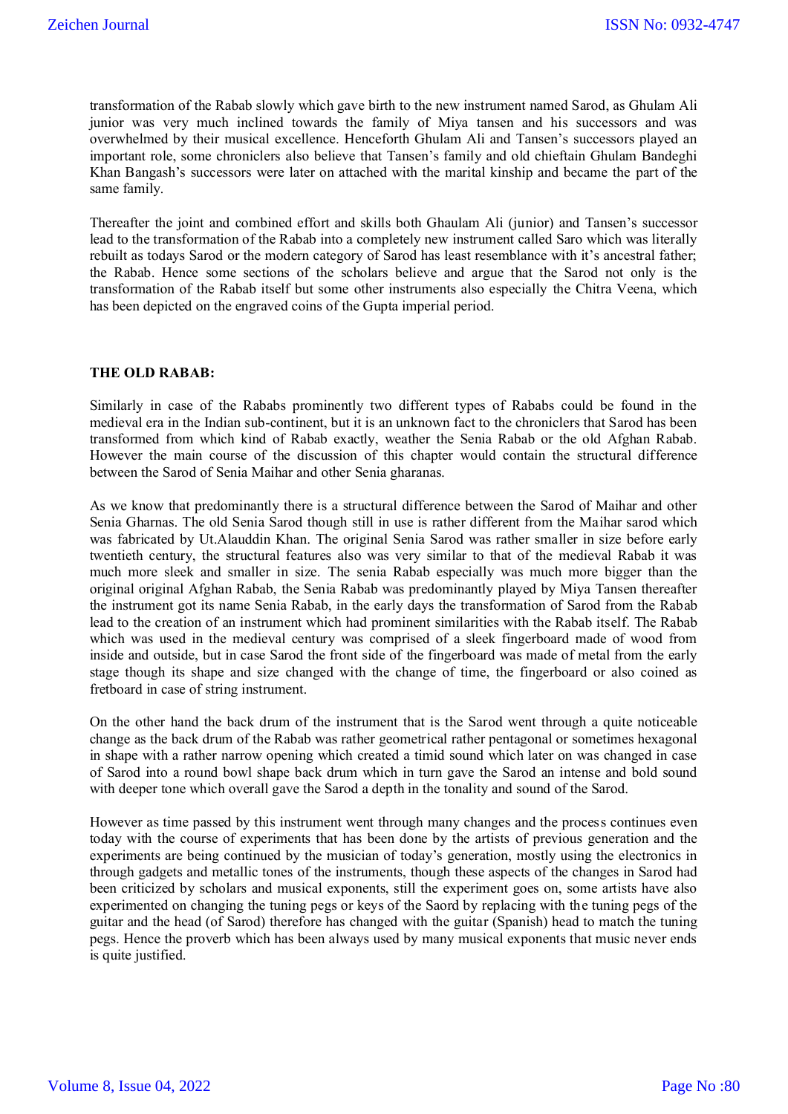transformation of the Rabab slowly which gave birth to the new instrument named Sarod, as Ghulam Ali junior was very much inclined towards the family of Miya tansen and his successors and was overwhelmed by their musical excellence. Henceforth Ghulam Ali and Tansen"s successors played an important role, some chroniclers also believe that Tansen"s family and old chieftain Ghulam Bandeghi Khan Bangash"s successors were later on attached with the marital kinship and became the part of the same family.

Thereafter the joint and combined effort and skills both Ghaulam Ali (junior) and Tansen"s successor lead to the transformation of the Rabab into a completely new instrument called Saro which was literally rebuilt as todays Sarod or the modern category of Sarod has least resemblance with it's ancestral father; the Rabab. Hence some sections of the scholars believe and argue that the Sarod not only is the transformation of the Rabab itself but some other instruments also especially the Chitra Veena, which has been depicted on the engraved coins of the Gupta imperial period.

## **THE OLD RABAB:**

Similarly in case of the Rababs prominently two different types of Rababs could be found in the medieval era in the Indian sub-continent, but it is an unknown fact to the chroniclers that Sarod has been transformed from which kind of Rabab exactly, weather the Senia Rabab or the old Afghan Rabab. However the main course of the discussion of this chapter would contain the structural difference between the Sarod of Senia Maihar and other Senia gharanas.

As we know that predominantly there is a structural difference between the Sarod of Maihar and other Senia Gharnas. The old Senia Sarod though still in use is rather different from the Maihar sarod which was fabricated by Ut.Alauddin Khan. The original Senia Sarod was rather smaller in size before early twentieth century, the structural features also was very similar to that of the medieval Rabab it was much more sleek and smaller in size. The senia Rabab especially was much more bigger than the original original Afghan Rabab, the Senia Rabab was predominantly played by Miya Tansen thereafter the instrument got its name Senia Rabab, in the early days the transformation of Sarod from the Rabab lead to the creation of an instrument which had prominent similarities with the Rabab itself. The Rabab which was used in the medieval century was comprised of a sleek fingerboard made of wood from inside and outside, but in case Sarod the front side of the fingerboard was made of metal from the early stage though its shape and size changed with the change of time, the fingerboard or also coined as fretboard in case of string instrument.

On the other hand the back drum of the instrument that is the Sarod went through a quite noticeable change as the back drum of the Rabab was rather geometrical rather pentagonal or sometimes hexagonal in shape with a rather narrow opening which created a timid sound which later on was changed in case of Sarod into a round bowl shape back drum which in turn gave the Sarod an intense and bold sound with deeper tone which overall gave the Sarod a depth in the tonality and sound of the Sarod.

However as time passed by this instrument went through many changes and the process continues even today with the course of experiments that has been done by the artists of previous generation and the experiments are being continued by the musician of today"s generation, mostly using the electronics in through gadgets and metallic tones of the instruments, though these aspects of the changes in Sarod had been criticized by scholars and musical exponents, still the experiment goes on, some artists have also experimented on changing the tuning pegs or keys of the Saord by replacing with the tuning pegs of the guitar and the head (of Sarod) therefore has changed with the guitar (Spanish) head to match the tuning pegs. Hence the proverb which has been always used by many musical exponents that music never ends is quite justified.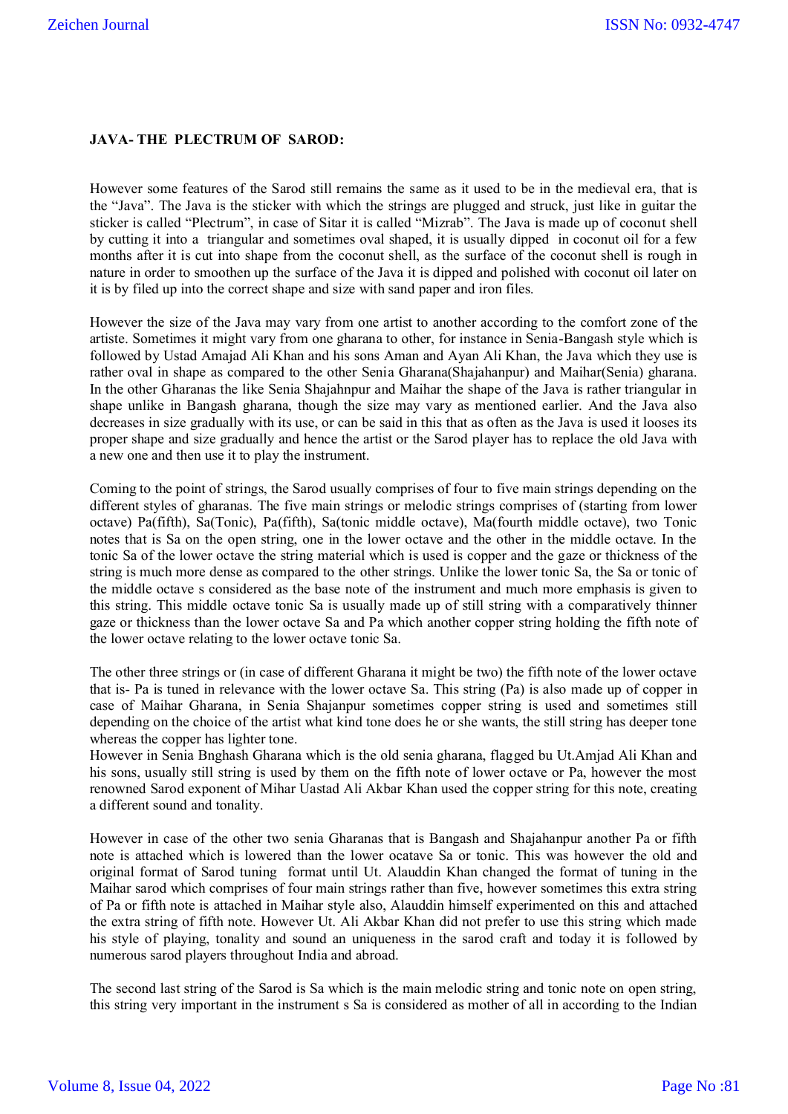## **JAVA- THE PLECTRUM OF SAROD:**

However some features of the Sarod still remains the same as it used to be in the medieval era, that is the "Java". The Java is the sticker with which the strings are plugged and struck, just like in guitar the sticker is called "Plectrum", in case of Sitar it is called "Mizrab". The Java is made up of coconut shell by cutting it into a triangular and sometimes oval shaped, it is usually dipped in coconut oil for a few months after it is cut into shape from the coconut shell, as the surface of the coconut shell is rough in nature in order to smoothen up the surface of the Java it is dipped and polished with coconut oil later on it is by filed up into the correct shape and size with sand paper and iron files.

However the size of the Java may vary from one artist to another according to the comfort zone of the artiste. Sometimes it might vary from one gharana to other, for instance in Senia-Bangash style which is followed by Ustad Amajad Ali Khan and his sons Aman and Ayan Ali Khan, the Java which they use is rather oval in shape as compared to the other Senia Gharana(Shajahanpur) and Maihar(Senia) gharana. In the other Gharanas the like Senia Shajahnpur and Maihar the shape of the Java is rather triangular in shape unlike in Bangash gharana, though the size may vary as mentioned earlier. And the Java also decreases in size gradually with its use, or can be said in this that as often as the Java is used it looses its proper shape and size gradually and hence the artist or the Sarod player has to replace the old Java with a new one and then use it to play the instrument.

Coming to the point of strings, the Sarod usually comprises of four to five main strings depending on the different styles of gharanas. The five main strings or melodic strings comprises of (starting from lower octave) Pa(fifth), Sa(Tonic), Pa(fifth), Sa(tonic middle octave), Ma(fourth middle octave), two Tonic notes that is Sa on the open string, one in the lower octave and the other in the middle octave. In the tonic Sa of the lower octave the string material which is used is copper and the gaze or thickness of the string is much more dense as compared to the other strings. Unlike the lower tonic Sa, the Sa or tonic of the middle octave s considered as the base note of the instrument and much more emphasis is given to this string. This middle octave tonic Sa is usually made up of still string with a comparatively thinner gaze or thickness than the lower octave Sa and Pa which another copper string holding the fifth note of the lower octave relating to the lower octave tonic Sa.

The other three strings or (in case of different Gharana it might be two) the fifth note of the lower octave that is- Pa is tuned in relevance with the lower octave Sa. This string (Pa) is also made up of copper in case of Maihar Gharana, in Senia Shajanpur sometimes copper string is used and sometimes still depending on the choice of the artist what kind tone does he or she wants, the still string has deeper tone whereas the copper has lighter tone.

However in Senia Bnghash Gharana which is the old senia gharana, flagged bu Ut.Amjad Ali Khan and his sons, usually still string is used by them on the fifth note of lower octave or Pa, however the most renowned Sarod exponent of Mihar Uastad Ali Akbar Khan used the copper string for this note, creating a different sound and tonality.

However in case of the other two senia Gharanas that is Bangash and Shajahanpur another Pa or fifth note is attached which is lowered than the lower ocatave Sa or tonic. This was however the old and original format of Sarod tuning format until Ut. Alauddin Khan changed the format of tuning in the Maihar sarod which comprises of four main strings rather than five, however sometimes this extra string of Pa or fifth note is attached in Maihar style also, Alauddin himself experimented on this and attached the extra string of fifth note. However Ut. Ali Akbar Khan did not prefer to use this string which made his style of playing, tonality and sound an uniqueness in the sarod craft and today it is followed by numerous sarod players throughout India and abroad.

The second last string of the Sarod is Sa which is the main melodic string and tonic note on open string, this string very important in the instrument s Sa is considered as mother of all in according to the Indian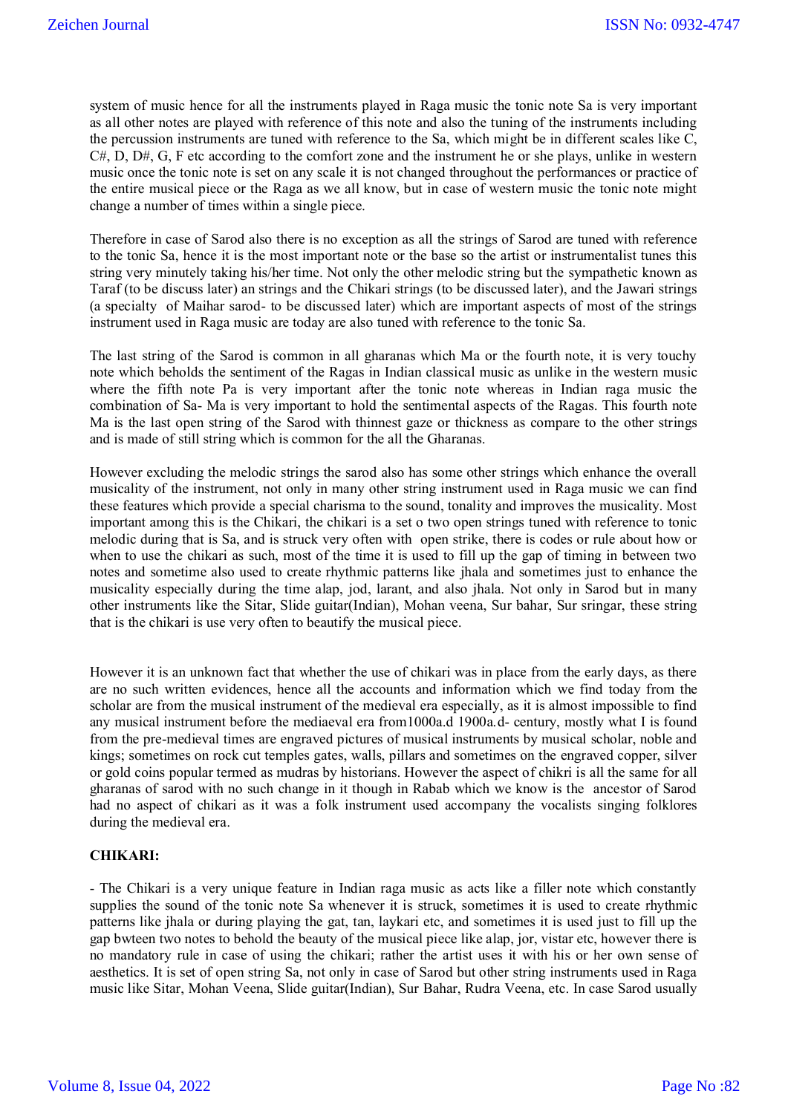system of music hence for all the instruments played in Raga music the tonic note Sa is very important as all other notes are played with reference of this note and also the tuning of the instruments including the percussion instruments are tuned with reference to the Sa, which might be in different scales like C,  $C#$ , D, D#, G, F etc according to the comfort zone and the instrument he or she plays, unlike in western music once the tonic note is set on any scale it is not changed throughout the performances or practice of the entire musical piece or the Raga as we all know, but in case of western music the tonic note might change a number of times within a single piece.

Therefore in case of Sarod also there is no exception as all the strings of Sarod are tuned with reference to the tonic Sa, hence it is the most important note or the base so the artist or instrumentalist tunes this string very minutely taking his/her time. Not only the other melodic string but the sympathetic known as Taraf (to be discuss later) an strings and the Chikari strings (to be discussed later), and the Jawari strings (a specialty of Maihar sarod- to be discussed later) which are important aspects of most of the strings instrument used in Raga music are today are also tuned with reference to the tonic Sa.

The last string of the Sarod is common in all gharanas which Ma or the fourth note, it is very touchy note which beholds the sentiment of the Ragas in Indian classical music as unlike in the western music where the fifth note Pa is very important after the tonic note whereas in Indian raga music the combination of Sa- Ma is very important to hold the sentimental aspects of the Ragas. This fourth note Ma is the last open string of the Sarod with thinnest gaze or thickness as compare to the other strings and is made of still string which is common for the all the Gharanas.

However excluding the melodic strings the sarod also has some other strings which enhance the overall musicality of the instrument, not only in many other string instrument used in Raga music we can find these features which provide a special charisma to the sound, tonality and improves the musicality. Most important among this is the Chikari, the chikari is a set o two open strings tuned with reference to tonic melodic during that is Sa, and is struck very often with open strike, there is codes or rule about how or when to use the chikari as such, most of the time it is used to fill up the gap of timing in between two notes and sometime also used to create rhythmic patterns like jhala and sometimes just to enhance the musicality especially during the time alap, jod, larant, and also jhala. Not only in Sarod but in many other instruments like the Sitar, Slide guitar(Indian), Mohan veena, Sur bahar, Sur sringar, these string that is the chikari is use very often to beautify the musical piece.

However it is an unknown fact that whether the use of chikari was in place from the early days, as there are no such written evidences, hence all the accounts and information which we find today from the scholar are from the musical instrument of the medieval era especially, as it is almost impossible to find any musical instrument before the mediaeval era from1000a.d 1900a.d- century, mostly what I is found from the pre-medieval times are engraved pictures of musical instruments by musical scholar, noble and kings; sometimes on rock cut temples gates, walls, pillars and sometimes on the engraved copper, silver or gold coins popular termed as mudras by historians. However the aspect of chikri is all the same for all gharanas of sarod with no such change in it though in Rabab which we know is the ancestor of Sarod had no aspect of chikari as it was a folk instrument used accompany the vocalists singing folklores during the medieval era.

## **CHIKARI:**

- The Chikari is a very unique feature in Indian raga music as acts like a filler note which constantly supplies the sound of the tonic note Sa whenever it is struck, sometimes it is used to create rhythmic patterns like jhala or during playing the gat, tan, laykari etc, and sometimes it is used just to fill up the gap bwteen two notes to behold the beauty of the musical piece like alap, jor, vistar etc, however there is no mandatory rule in case of using the chikari; rather the artist uses it with his or her own sense of aesthetics. It is set of open string Sa, not only in case of Sarod but other string instruments used in Raga music like Sitar, Mohan Veena, Slide guitar(Indian), Sur Bahar, Rudra Veena, etc. In case Sarod usually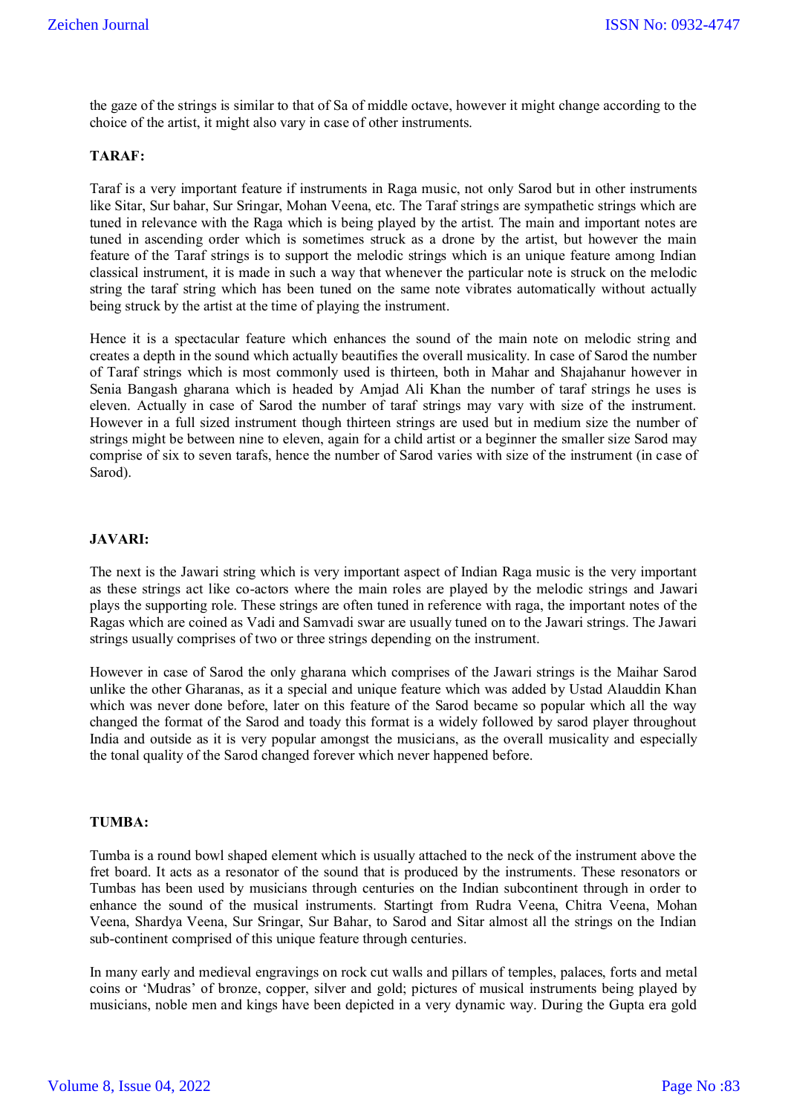the gaze of the strings is similar to that of Sa of middle octave, however it might change according to the choice of the artist, it might also vary in case of other instruments.

### **TARAF:**

Taraf is a very important feature if instruments in Raga music, not only Sarod but in other instruments like Sitar, Sur bahar, Sur Sringar, Mohan Veena, etc. The Taraf strings are sympathetic strings which are tuned in relevance with the Raga which is being played by the artist. The main and important notes are tuned in ascending order which is sometimes struck as a drone by the artist, but however the main feature of the Taraf strings is to support the melodic strings which is an unique feature among Indian classical instrument, it is made in such a way that whenever the particular note is struck on the melodic string the taraf string which has been tuned on the same note vibrates automatically without actually being struck by the artist at the time of playing the instrument.

Hence it is a spectacular feature which enhances the sound of the main note on melodic string and creates a depth in the sound which actually beautifies the overall musicality. In case of Sarod the number of Taraf strings which is most commonly used is thirteen, both in Mahar and Shajahanur however in Senia Bangash gharana which is headed by Amjad Ali Khan the number of taraf strings he uses is eleven. Actually in case of Sarod the number of taraf strings may vary with size of the instrument. However in a full sized instrument though thirteen strings are used but in medium size the number of strings might be between nine to eleven, again for a child artist or a beginner the smaller size Sarod may comprise of six to seven tarafs, hence the number of Sarod varies with size of the instrument (in case of Sarod).

#### **JAVARI:**

The next is the Jawari string which is very important aspect of Indian Raga music is the very important as these strings act like co-actors where the main roles are played by the melodic strings and Jawari plays the supporting role. These strings are often tuned in reference with raga, the important notes of the Ragas which are coined as Vadi and Samvadi swar are usually tuned on to the Jawari strings. The Jawari strings usually comprises of two or three strings depending on the instrument.

However in case of Sarod the only gharana which comprises of the Jawari strings is the Maihar Sarod unlike the other Gharanas, as it a special and unique feature which was added by Ustad Alauddin Khan which was never done before, later on this feature of the Sarod became so popular which all the way changed the format of the Sarod and toady this format is a widely followed by sarod player throughout India and outside as it is very popular amongst the musicians, as the overall musicality and especially the tonal quality of the Sarod changed forever which never happened before.

#### **TUMBA:**

Tumba is a round bowl shaped element which is usually attached to the neck of the instrument above the fret board. It acts as a resonator of the sound that is produced by the instruments. These resonators or Tumbas has been used by musicians through centuries on the Indian subcontinent through in order to enhance the sound of the musical instruments. Startingt from Rudra Veena, Chitra Veena, Mohan Veena, Shardya Veena, Sur Sringar, Sur Bahar, to Sarod and Sitar almost all the strings on the Indian sub-continent comprised of this unique feature through centuries.

In many early and medieval engravings on rock cut walls and pillars of temples, palaces, forts and metal coins or "Mudras" of bronze, copper, silver and gold; pictures of musical instruments being played by musicians, noble men and kings have been depicted in a very dynamic way. During the Gupta era gold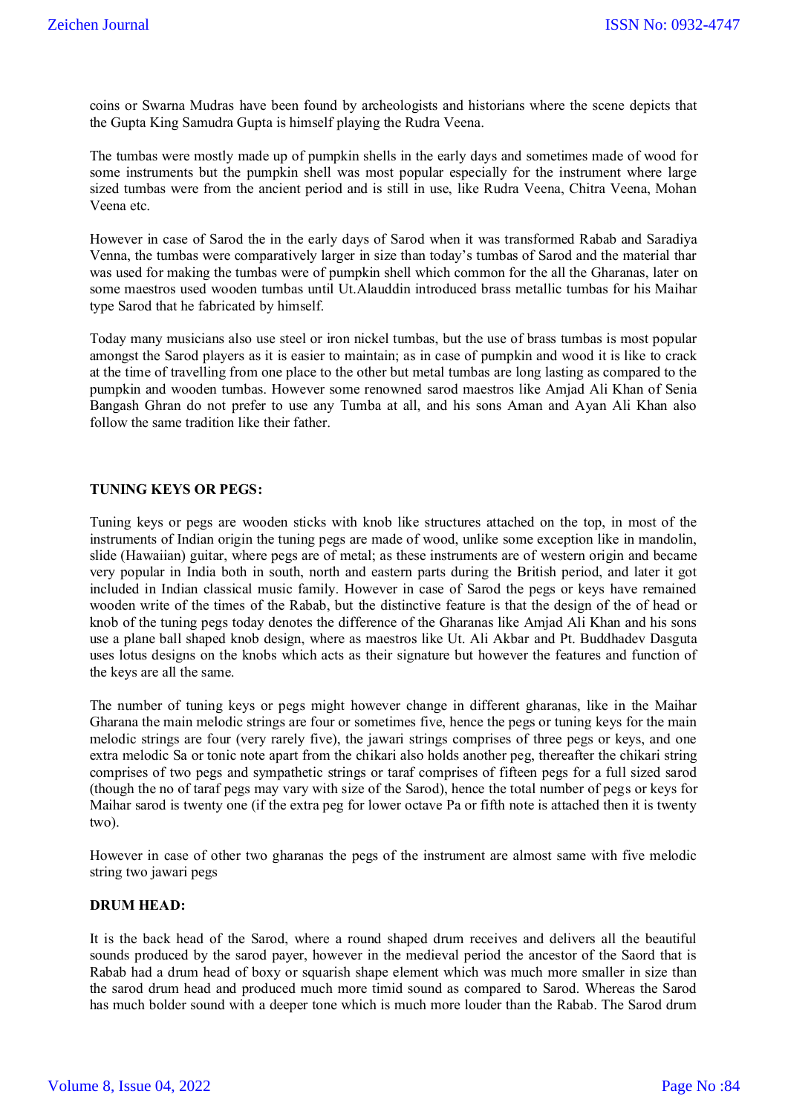coins or Swarna Mudras have been found by archeologists and historians where the scene depicts that the Gupta King Samudra Gupta is himself playing the Rudra Veena.

The tumbas were mostly made up of pumpkin shells in the early days and sometimes made of wood for some instruments but the pumpkin shell was most popular especially for the instrument where large sized tumbas were from the ancient period and is still in use, like Rudra Veena, Chitra Veena, Mohan Veena etc.

However in case of Sarod the in the early days of Sarod when it was transformed Rabab and Saradiya Venna, the tumbas were comparatively larger in size than today"s tumbas of Sarod and the material thar was used for making the tumbas were of pumpkin shell which common for the all the Gharanas, later on some maestros used wooden tumbas until Ut.Alauddin introduced brass metallic tumbas for his Maihar type Sarod that he fabricated by himself.

Today many musicians also use steel or iron nickel tumbas, but the use of brass tumbas is most popular amongst the Sarod players as it is easier to maintain; as in case of pumpkin and wood it is like to crack at the time of travelling from one place to the other but metal tumbas are long lasting as compared to the pumpkin and wooden tumbas. However some renowned sarod maestros like Amjad Ali Khan of Senia Bangash Ghran do not prefer to use any Tumba at all, and his sons Aman and Ayan Ali Khan also follow the same tradition like their father.

#### **TUNING KEYS OR PEGS:**

Tuning keys or pegs are wooden sticks with knob like structures attached on the top, in most of the instruments of Indian origin the tuning pegs are made of wood, unlike some exception like in mandolin, slide (Hawaiian) guitar, where pegs are of metal; as these instruments are of western origin and became very popular in India both in south, north and eastern parts during the British period, and later it got included in Indian classical music family. However in case of Sarod the pegs or keys have remained wooden write of the times of the Rabab, but the distinctive feature is that the design of the of head or knob of the tuning pegs today denotes the difference of the Gharanas like Amjad Ali Khan and his sons use a plane ball shaped knob design, where as maestros like Ut. Ali Akbar and Pt. Buddhadev Dasguta uses lotus designs on the knobs which acts as their signature but however the features and function of the keys are all the same.

The number of tuning keys or pegs might however change in different gharanas, like in the Maihar Gharana the main melodic strings are four or sometimes five, hence the pegs or tuning keys for the main melodic strings are four (very rarely five), the jawari strings comprises of three pegs or keys, and one extra melodic Sa or tonic note apart from the chikari also holds another peg, thereafter the chikari string comprises of two pegs and sympathetic strings or taraf comprises of fifteen pegs for a full sized sarod (though the no of taraf pegs may vary with size of the Sarod), hence the total number of pegs or keys for Maihar sarod is twenty one (if the extra peg for lower octave Pa or fifth note is attached then it is twenty two).

However in case of other two gharanas the pegs of the instrument are almost same with five melodic string two jawari pegs

#### **DRUM HEAD:**

It is the back head of the Sarod, where a round shaped drum receives and delivers all the beautiful sounds produced by the sarod payer, however in the medieval period the ancestor of the Saord that is Rabab had a drum head of boxy or squarish shape element which was much more smaller in size than the sarod drum head and produced much more timid sound as compared to Sarod. Whereas the Sarod has much bolder sound with a deeper tone which is much more louder than the Rabab. The Sarod drum